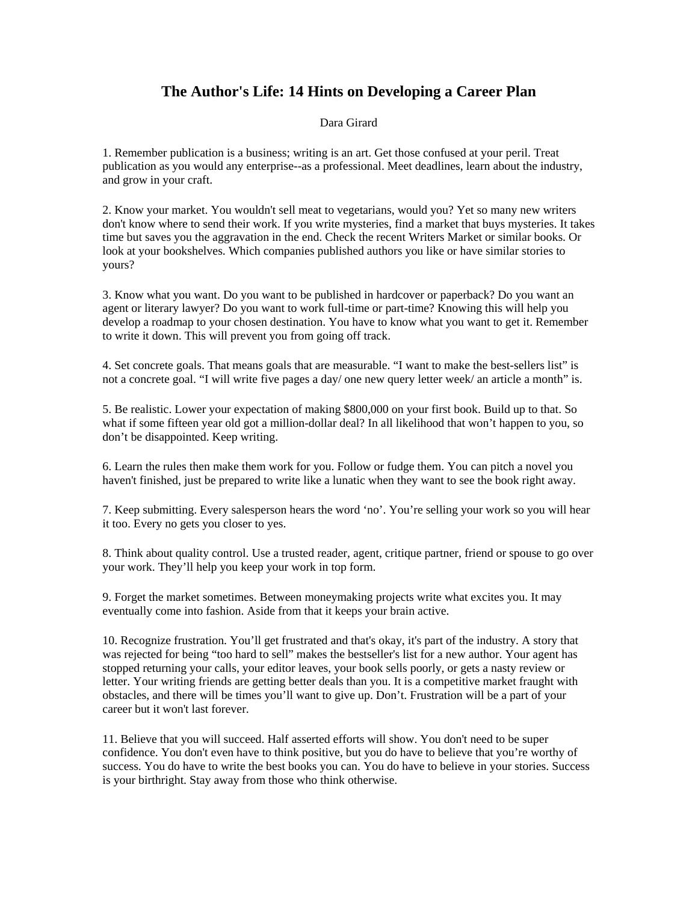## **The Author's Life: 14 Hints on Developing a Career Plan**

## Dara Girard

1. Remember publication is a business; writing is an art. Get those confused at your peril. Treat publication as you would any enterprise--as a professional. Meet deadlines, learn about the industry, and grow in your craft.

2. Know your market. You wouldn't sell meat to vegetarians, would you? Yet so many new writers don't know where to send their work. If you write mysteries, find a market that buys mysteries. It takes time but saves you the aggravation in the end. Check the recent Writers Market or similar books. Or look at your bookshelves. Which companies published authors you like or have similar stories to yours?

3. Know what you want. Do you want to be published in hardcover or paperback? Do you want an agent or literary lawyer? Do you want to work full-time or part-time? Knowing this will help you develop a roadmap to your chosen destination. You have to know what you want to get it. Remember to write it down. This will prevent you from going off track.

4. Set concrete goals. That means goals that are measurable. "I want to make the best-sellers list" is not a concrete goal. "I will write five pages a day/ one new query letter week/ an article a month" is.

5. Be realistic. Lower your expectation of making \$800,000 on your first book. Build up to that. So what if some fifteen year old got a million-dollar deal? In all likelihood that won't happen to you, so don't be disappointed. Keep writing.

6. Learn the rules then make them work for you. Follow or fudge them. You can pitch a novel you haven't finished, just be prepared to write like a lunatic when they want to see the book right away.

7. Keep submitting. Every salesperson hears the word 'no'. You're selling your work so you will hear it too. Every no gets you closer to yes.

8. Think about quality control. Use a trusted reader, agent, critique partner, friend or spouse to go over your work. They'll help you keep your work in top form.

9. Forget the market sometimes. Between moneymaking projects write what excites you. It may eventually come into fashion. Aside from that it keeps your brain active.

10. Recognize frustration. You'll get frustrated and that's okay, it's part of the industry. A story that was rejected for being "too hard to sell" makes the bestseller's list for a new author. Your agent has stopped returning your calls, your editor leaves, your book sells poorly, or gets a nasty review or letter. Your writing friends are getting better deals than you. It is a competitive market fraught with obstacles, and there will be times you'll want to give up. Don't. Frustration will be a part of your career but it won't last forever.

11. Believe that you will succeed. Half asserted efforts will show. You don't need to be super confidence. You don't even have to think positive, but you do have to believe that you're worthy of success. You do have to write the best books you can. You do have to believe in your stories. Success is your birthright. Stay away from those who think otherwise.